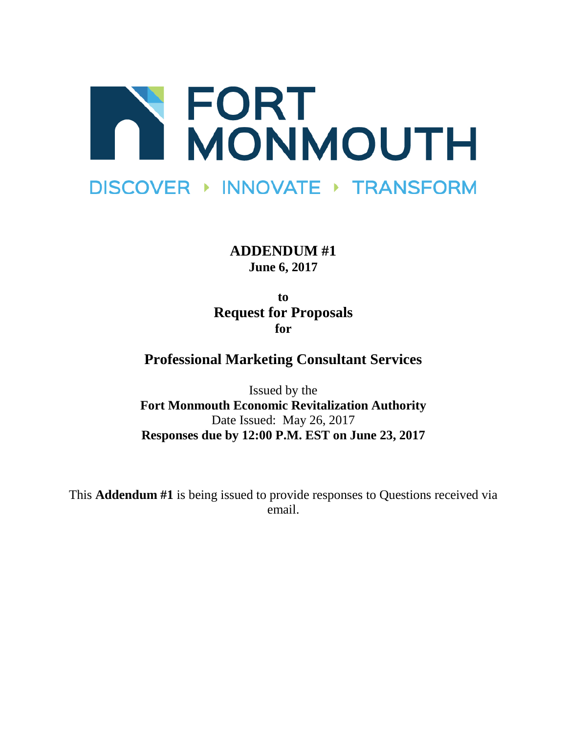

**ADDENDUM #1 June 6, 2017**

**to Request for Proposals for**

**Professional Marketing Consultant Services**

Issued by the **Fort Monmouth Economic Revitalization Authority** Date Issued: May 26, 2017 **Responses due by 12:00 P.M. EST on June 23, 2017**

This **Addendum #1** is being issued to provide responses to Questions received via email.